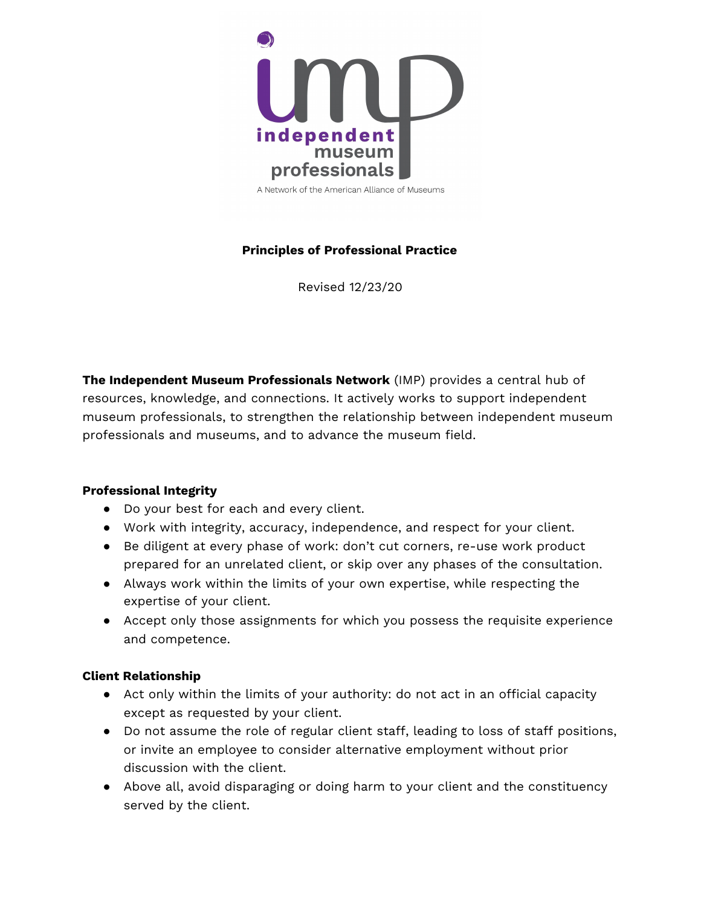

A Network of the American Alliance of Museums

# **Principles of Professional Practice**

Revised 12/23/20

**The Independent Museum Professionals Network** (IMP) provides a central hub of resources, knowledge, and connections. It actively works to support independent museum professionals, to strengthen the relationship between independent museum professionals and museums, and to advance the museum field.

#### **Professional Integrity**

- Do your best for each and every client.
- Work with integrity, accuracy, independence, and respect for your client.
- Be diligent at every phase of work: don't cut corners, re-use work product prepared for an unrelated client, or skip over any phases of the consultation.
- Always work within the limits of your own expertise, while respecting the expertise of your client.
- Accept only those assignments for which you possess the requisite experience and competence.

### **Client Relationship**

- Act only within the limits of your authority: do not act in an official capacity except as requested by your client.
- Do not assume the role of regular client staff, leading to loss of staff positions, or invite an employee to consider alternative employment without prior discussion with the client.
- Above all, avoid disparaging or doing harm to your client and the constituency served by the client.